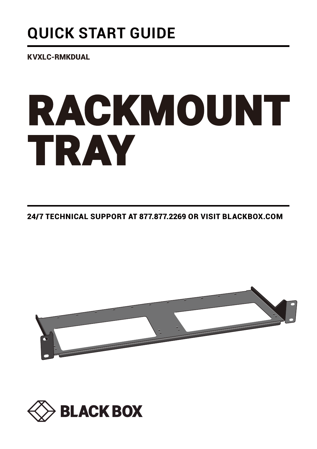## **QUICK START GUIDE**

KVXLC-RMKDUAL

# RACKMOUNT TRAY

24/7 TECHNICAL SUPPORT AT 877.877.2269 OR VISIT BLACKBOX.COM



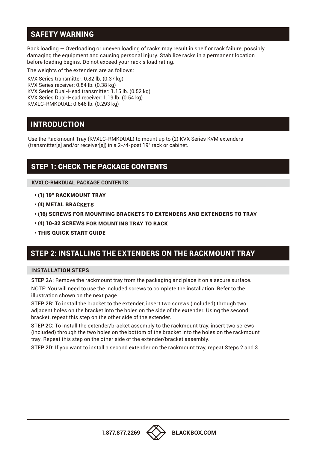### SAFETY WARNING

Rack loading – Overloading or uneven loading of racks may result in shelf or rack failure, possibly damaging the equipment and causing personal injury. Stabilize racks in a permanent location before loading begins. Do not exceed your rack's load rating.

The weights of the extenders are as follows:

KVX Series transmitter: 0.82 lb. (0.37 kg) KVX Series receiver: 0.84 lb. (0.38 kg) KVX Series Dual-Head transmitter: 1.15 lb. (0.52 kg) KVX Series Dual-Head receiver: 1.19 lb. (0.54 kg) KVXLC-RMKDUAL: 0.646 lb. (0.293 kg)

#### INTRODUCTION

Use the Rackmount Tray (KVXLC-RMKDUAL) to mount up to (2) KVX Series KVM extenders (transmitter[s] and/or receiver[s]) in a 2-/4-post 19" rack or cabinet.

#### STEP 1: CHECK THE PACKAGE CONTENTS

**KVXLC-RMKDUAL PACKAGE CONTENTS**

- (1) 19" RACKMOUNT TRAY
- (4) METAL BRACKETS
- (16) SCREWS FOR MOUNTING BRACKETS TO EXTENDERS AND EXTENDERS TO TRAY
- (4) 10-32 SCREWS FOR MOUNTING TRAY TO RACK
- THIS QUICK START GUIDE

#### STEP 2: INSTALLING THE EXTENDERS ON THE RACKMOUNT TRAY

#### **INSTALLATION STEPS**

STEP 2A: Remove the rackmount tray from the packaging and place it on a secure surface.

NOTE: You will need to use the included screws to complete the installation. Refer to the illustration shown on the next page.

STEP 2B: To install the bracket to the extender, insert two screws (included) through two adjacent holes on the bracket into the holes on the side of the extender. Using the second bracket, repeat this step on the other side of the extender.

STEP 2C: To install the extender/bracket assembly to the rackmount tray, insert two screws (included) through the two holes on the bottom of the bracket into the holes on the rackmount tray. Repeat this step on the other side of the extender/bracket assembly.

STEP 2D: If you want to install a second extender on the rackmount tray, repeat Steps 2 and 3.

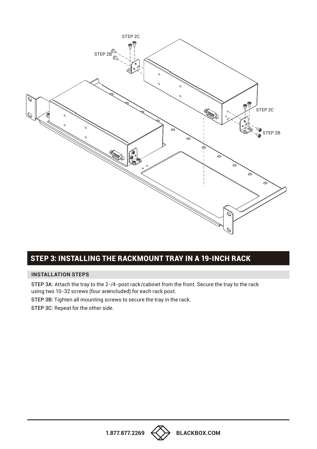

### STEP 3: INSTALLING THE RACKMOUNT TRAY IN A 19-INCH RACK

#### **INSTALLATION STEPS**

STEP 3A: Attach the tray to the 2-/4-post rack/cabinet from the front. Secure the tray to the rack using two 10-32 screws (four areincluded) for each rack post.

STEP 3B: Tighten all mounting screws to secure the tray in the rack.

STEP 3C: Repeat for the other side.